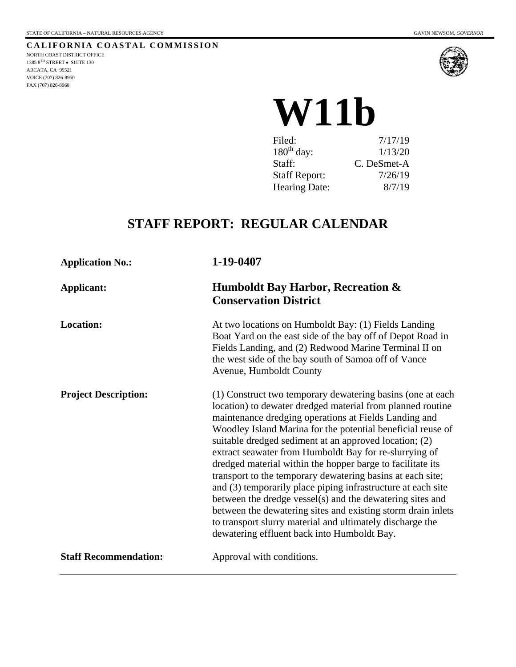

# **W11b**

| Filed:               | 7/17/19     |
|----------------------|-------------|
| $180th$ day:         | 1/13/20     |
| Staff:               | C. DeSmet-A |
| <b>Staff Report:</b> | 7/26/19     |
| Hearing Date:        | 8/7/19      |

# **STAFF REPORT: REGULAR CALENDAR**

| <b>Application No.:</b>      | 1-19-0407                                                                                                                                                                                                                                                                                                                                                                                                                                                                                                                                                                                                                                                                                                                                                                                                 |
|------------------------------|-----------------------------------------------------------------------------------------------------------------------------------------------------------------------------------------------------------------------------------------------------------------------------------------------------------------------------------------------------------------------------------------------------------------------------------------------------------------------------------------------------------------------------------------------------------------------------------------------------------------------------------------------------------------------------------------------------------------------------------------------------------------------------------------------------------|
| <b>Applicant:</b>            | <b>Humboldt Bay Harbor, Recreation &amp;</b><br><b>Conservation District</b>                                                                                                                                                                                                                                                                                                                                                                                                                                                                                                                                                                                                                                                                                                                              |
| <b>Location:</b>             | At two locations on Humboldt Bay: (1) Fields Landing<br>Boat Yard on the east side of the bay off of Depot Road in<br>Fields Landing, and (2) Redwood Marine Terminal II on<br>the west side of the bay south of Samoa off of Vance<br>Avenue, Humboldt County                                                                                                                                                                                                                                                                                                                                                                                                                                                                                                                                            |
| <b>Project Description:</b>  | (1) Construct two temporary dewatering basins (one at each<br>location) to dewater dredged material from planned routine<br>maintenance dredging operations at Fields Landing and<br>Woodley Island Marina for the potential beneficial reuse of<br>suitable dredged sediment at an approved location; (2)<br>extract seawater from Humboldt Bay for re-slurrying of<br>dredged material within the hopper barge to facilitate its<br>transport to the temporary dewatering basins at each site;<br>and (3) temporarily place piping infrastructure at each site<br>between the dredge vessel(s) and the dewatering sites and<br>between the dewatering sites and existing storm drain inlets<br>to transport slurry material and ultimately discharge the<br>dewatering effluent back into Humboldt Bay. |
| <b>Staff Recommendation:</b> | Approval with conditions.                                                                                                                                                                                                                                                                                                                                                                                                                                                                                                                                                                                                                                                                                                                                                                                 |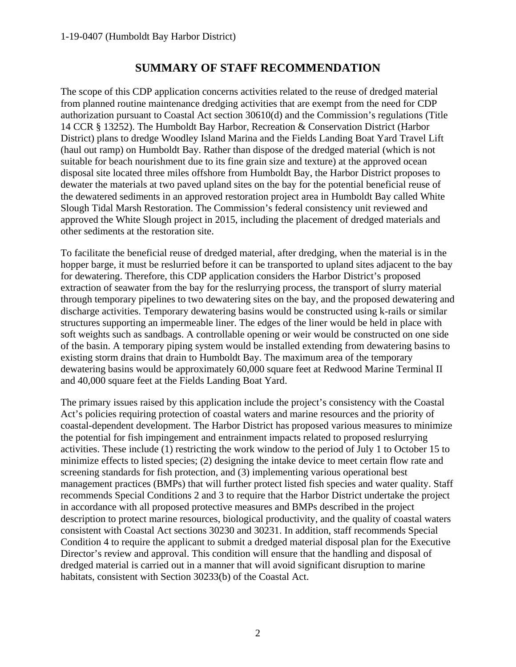## **SUMMARY OF STAFF RECOMMENDATION**

The scope of this CDP application concerns activities related to the reuse of dredged material from planned routine maintenance dredging activities that are exempt from the need for CDP authorization pursuant to Coastal Act section 30610(d) and the Commission's regulations (Title 14 CCR § 13252). The Humboldt Bay Harbor, Recreation & Conservation District (Harbor District) plans to dredge Woodley Island Marina and the Fields Landing Boat Yard Travel Lift (haul out ramp) on Humboldt Bay. Rather than dispose of the dredged material (which is not suitable for beach nourishment due to its fine grain size and texture) at the approved ocean disposal site located three miles offshore from Humboldt Bay, the Harbor District proposes to dewater the materials at two paved upland sites on the bay for the potential beneficial reuse of the dewatered sediments in an approved restoration project area in Humboldt Bay called White Slough Tidal Marsh Restoration. The Commission's federal consistency unit reviewed and approved the White Slough project in 2015, including the placement of dredged materials and other sediments at the restoration site.

To facilitate the beneficial reuse of dredged material, after dredging, when the material is in the hopper barge, it must be reslurried before it can be transported to upland sites adjacent to the bay for dewatering. Therefore, this CDP application considers the Harbor District's proposed extraction of seawater from the bay for the reslurrying process, the transport of slurry material through temporary pipelines to two dewatering sites on the bay, and the proposed dewatering and discharge activities. Temporary dewatering basins would be constructed using k-rails or similar structures supporting an impermeable liner. The edges of the liner would be held in place with soft weights such as sandbags. A controllable opening or weir would be constructed on one side of the basin. A temporary piping system would be installed extending from dewatering basins to existing storm drains that drain to Humboldt Bay. The maximum area of the temporary dewatering basins would be approximately 60,000 square feet at Redwood Marine Terminal II and 40,000 square feet at the Fields Landing Boat Yard.

The primary issues raised by this application include the project's consistency with the Coastal Act's policies requiring protection of coastal waters and marine resources and the priority of coastal-dependent development. The Harbor District has proposed various measures to minimize the potential for fish impingement and entrainment impacts related to proposed reslurrying activities. These include (1) restricting the work window to the period of July 1 to October 15 to minimize effects to listed species; (2) designing the intake device to meet certain flow rate and screening standards for fish protection, and (3) implementing various operational best management practices (BMPs) that will further protect listed fish species and water quality. Staff recommends Special Conditions 2 and 3 to require that the Harbor District undertake the project in accordance with all proposed protective measures and BMPs described in the project description to protect marine resources, biological productivity, and the quality of coastal waters consistent with Coastal Act sections 30230 and 30231. In addition, staff recommends Special Condition 4 to require the applicant to submit a dredged material disposal plan for the Executive Director's review and approval. This condition will ensure that the handling and disposal of dredged material is carried out in a manner that will avoid significant disruption to marine habitats, consistent with Section 30233(b) of the Coastal Act.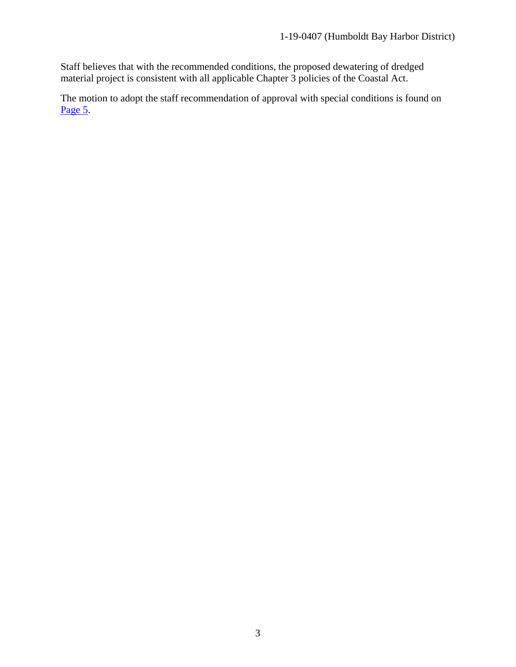Staff believes that with the recommended conditions, the proposed dewatering of dredged material project is consistent with all applicable Chapter 3 policies of the Coastal Act.

The motion to adopt the staff recommendation of approval with special conditions is found on [Page 5.](#page-4-0)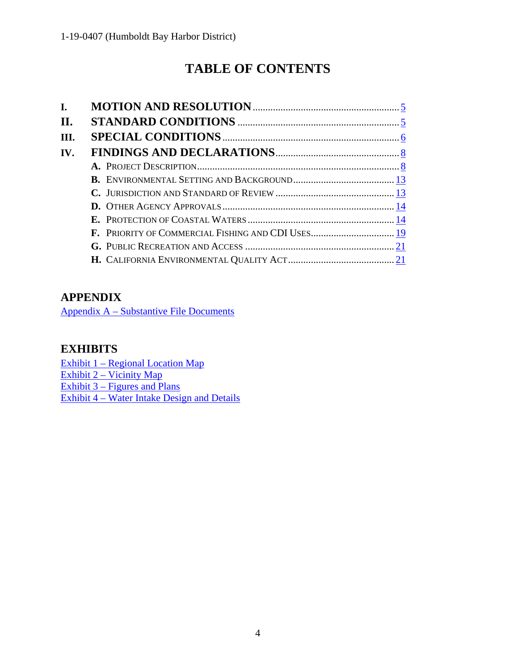# **TABLE OF CONTENTS**

| I.  |                                                   |
|-----|---------------------------------------------------|
| П.  |                                                   |
| Ш.  |                                                   |
| IV. |                                                   |
|     |                                                   |
|     |                                                   |
|     |                                                   |
|     |                                                   |
|     |                                                   |
|     | F. PRIORITY OF COMMERCIAL FISHING AND CDI USES 19 |
|     |                                                   |
|     |                                                   |

# **APPENDIX**

[Appendix A – Substantive File Documents](https://documents.coastal.ca.gov/reports/2019/8/w11b/w11b-8-2019-appendix.pdf)

# **EXHIBITS**

[Exhibit 1 – Regional Location Map](https://documents.coastal.ca.gov/reports/2019/8/w11b/w11b-8-2019-exhibits.pdf) [Exhibit 2 – Vicinity Map](https://documents.coastal.ca.gov/reports/2019/8/w11b/w11b-8-2019-exhibits.pdf) Exhibit 3 – Figures and Plans [Exhibit 4 – Water Intake Design and Details](https://documents.coastal.ca.gov/reports/2019/8/w11b/w11b-8-2019-exhibits.pdf)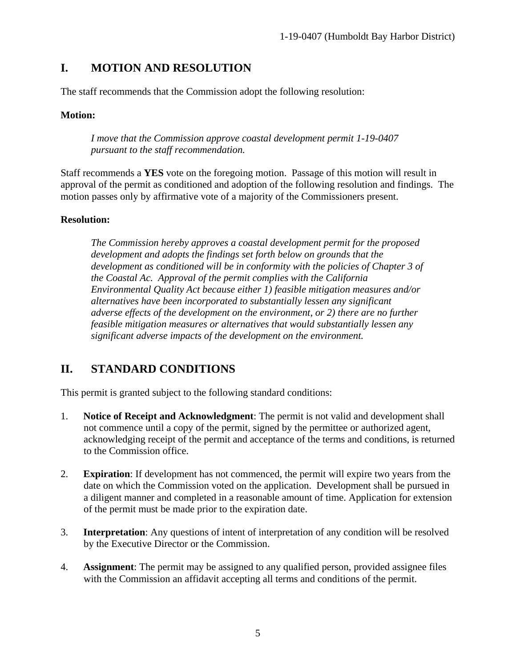# <span id="page-4-0"></span>**I. MOTION AND RESOLUTION**

The staff recommends that the Commission adopt the following resolution:

#### **Motion:**

*I move that the Commission approve coastal development permit 1-19-0407 pursuant to the staff recommendation.* 

Staff recommends a **YES** vote on the foregoing motion. Passage of this motion will result in approval of the permit as conditioned and adoption of the following resolution and findings. The motion passes only by affirmative vote of a majority of the Commissioners present.

#### **Resolution:**

*The Commission hereby approves a coastal development permit for the proposed development and adopts the findings set forth below on grounds that the development as conditioned will be in conformity with the policies of Chapter 3 of the Coastal Ac. Approval of the permit complies with the California Environmental Quality Act because either 1) feasible mitigation measures and/or alternatives have been incorporated to substantially lessen any significant adverse effects of the development on the environment, or 2) there are no further feasible mitigation measures or alternatives that would substantially lessen any significant adverse impacts of the development on the environment.*

# <span id="page-4-1"></span>**II. STANDARD CONDITIONS**

This permit is granted subject to the following standard conditions:

- 1. **Notice of Receipt and Acknowledgment**: The permit is not valid and development shall not commence until a copy of the permit, signed by the permittee or authorized agent, acknowledging receipt of the permit and acceptance of the terms and conditions, is returned to the Commission office.
- 2. **Expiration**: If development has not commenced, the permit will expire two years from the date on which the Commission voted on the application. Development shall be pursued in a diligent manner and completed in a reasonable amount of time. Application for extension of the permit must be made prior to the expiration date.
- 3. **Interpretation**: Any questions of intent of interpretation of any condition will be resolved by the Executive Director or the Commission.
- 4. **Assignment**: The permit may be assigned to any qualified person, provided assignee files with the Commission an affidavit accepting all terms and conditions of the permit.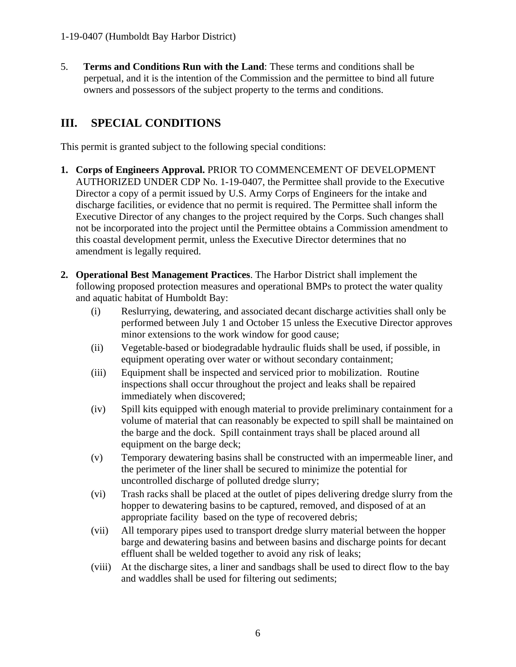5. **Terms and Conditions Run with the Land**: These terms and conditions shall be perpetual, and it is the intention of the Commission and the permittee to bind all future owners and possessors of the subject property to the terms and conditions.

# <span id="page-5-0"></span>**III. SPECIAL CONDITIONS**

This permit is granted subject to the following special conditions:

- **1. Corps of Engineers Approval.** PRIOR TO COMMENCEMENT OF DEVELOPMENT AUTHORIZED UNDER CDP No. 1-19-0407, the Permittee shall provide to the Executive Director a copy of a permit issued by U.S. Army Corps of Engineers for the intake and discharge facilities, or evidence that no permit is required. The Permittee shall inform the Executive Director of any changes to the project required by the Corps. Such changes shall not be incorporated into the project until the Permittee obtains a Commission amendment to this coastal development permit, unless the Executive Director determines that no amendment is legally required.
- **2. Operational Best Management Practices**. The Harbor District shall implement the following proposed protection measures and operational BMPs to protect the water quality and aquatic habitat of Humboldt Bay:
	- (i) Reslurrying, dewatering, and associated decant discharge activities shall only be performed between July 1 and October 15 unless the Executive Director approves minor extensions to the work window for good cause;
	- (ii) Vegetable-based or biodegradable hydraulic fluids shall be used, if possible, in equipment operating over water or without secondary containment;
	- (iii) Equipment shall be inspected and serviced prior to mobilization. Routine inspections shall occur throughout the project and leaks shall be repaired immediately when discovered;
	- (iv) Spill kits equipped with enough material to provide preliminary containment for a volume of material that can reasonably be expected to spill shall be maintained on the barge and the dock. Spill containment trays shall be placed around all equipment on the barge deck;
	- (v) Temporary dewatering basins shall be constructed with an impermeable liner, and the perimeter of the liner shall be secured to minimize the potential for uncontrolled discharge of polluted dredge slurry;
	- (vi) Trash racks shall be placed at the outlet of pipes delivering dredge slurry from the hopper to dewatering basins to be captured, removed, and disposed of at an appropriate facility based on the type of recovered debris;
	- (vii) All temporary pipes used to transport dredge slurry material between the hopper barge and dewatering basins and between basins and discharge points for decant effluent shall be welded together to avoid any risk of leaks;
	- (viii) At the discharge sites, a liner and sandbags shall be used to direct flow to the bay and waddles shall be used for filtering out sediments;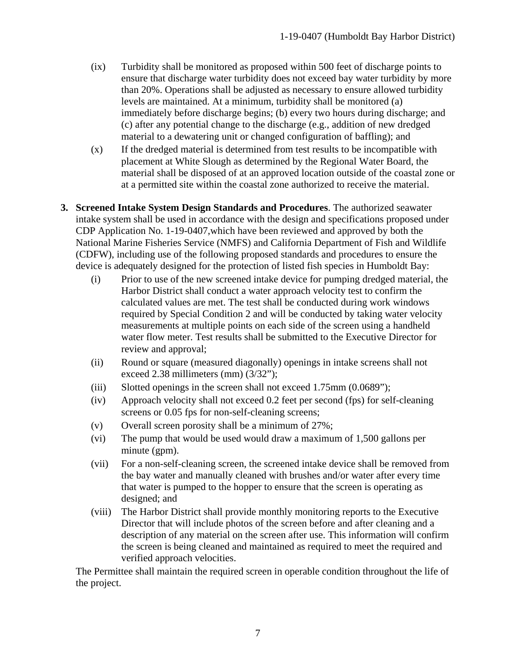- (ix) Turbidity shall be monitored as proposed within 500 feet of discharge points to ensure that discharge water turbidity does not exceed bay water turbidity by more than 20%. Operations shall be adjusted as necessary to ensure allowed turbidity levels are maintained. At a minimum, turbidity shall be monitored (a) immediately before discharge begins; (b) every two hours during discharge; and (c) after any potential change to the discharge (e.g., addition of new dredged material to a dewatering unit or changed configuration of baffling); and
- (x) If the dredged material is determined from test results to be incompatible with placement at White Slough as determined by the Regional Water Board, the material shall be disposed of at an approved location outside of the coastal zone or at a permitted site within the coastal zone authorized to receive the material.
- **3. Screened Intake System Design Standards and Procedures**. The authorized seawater intake system shall be used in accordance with the design and specifications proposed under CDP Application No. 1-19-0407,which have been reviewed and approved by both the National Marine Fisheries Service (NMFS) and California Department of Fish and Wildlife (CDFW), including use of the following proposed standards and procedures to ensure the device is adequately designed for the protection of listed fish species in Humboldt Bay:
	- (i) Prior to use of the new screened intake device for pumping dredged material, the Harbor District shall conduct a water approach velocity test to confirm the calculated values are met. The test shall be conducted during work windows required by Special Condition 2 and will be conducted by taking water velocity measurements at multiple points on each side of the screen using a handheld water flow meter. Test results shall be submitted to the Executive Director for review and approval;
	- (ii) Round or square (measured diagonally) openings in intake screens shall not exceed 2.38 millimeters (mm) (3/32");
	- (iii) Slotted openings in the screen shall not exceed 1.75mm (0.0689");
	- (iv) Approach velocity shall not exceed 0.2 feet per second (fps) for self-cleaning screens or 0.05 fps for non-self-cleaning screens;
	- (v) Overall screen porosity shall be a minimum of 27%;
	- (vi) The pump that would be used would draw a maximum of 1,500 gallons per minute (gpm).
	- (vii) For a non-self-cleaning screen, the screened intake device shall be removed from the bay water and manually cleaned with brushes and/or water after every time that water is pumped to the hopper to ensure that the screen is operating as designed; and
	- (viii) The Harbor District shall provide monthly monitoring reports to the Executive Director that will include photos of the screen before and after cleaning and a description of any material on the screen after use. This information will confirm the screen is being cleaned and maintained as required to meet the required and verified approach velocities.

The Permittee shall maintain the required screen in operable condition throughout the life of the project.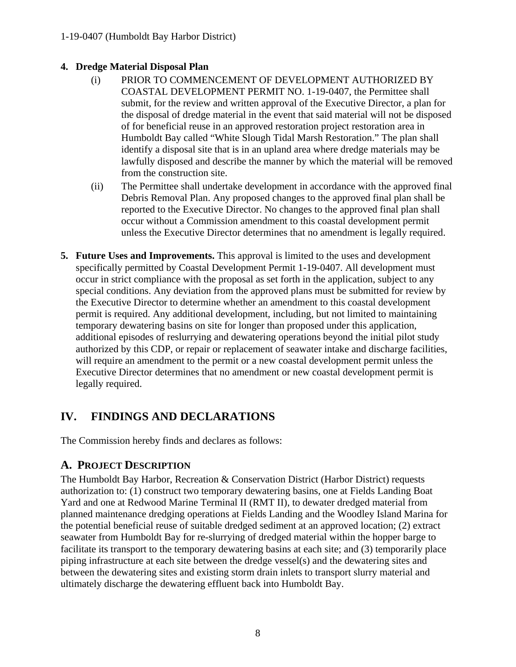#### **4. Dredge Material Disposal Plan**

- (i) PRIOR TO COMMENCEMENT OF DEVELOPMENT AUTHORIZED BY COASTAL DEVELOPMENT PERMIT NO. 1-19-0407, the Permittee shall submit, for the review and written approval of the Executive Director, a plan for the disposal of dredge material in the event that said material will not be disposed of for beneficial reuse in an approved restoration project restoration area in Humboldt Bay called "White Slough Tidal Marsh Restoration." The plan shall identify a disposal site that is in an upland area where dredge materials may be lawfully disposed and describe the manner by which the material will be removed from the construction site.
- (ii) The Permittee shall undertake development in accordance with the approved final Debris Removal Plan. Any proposed changes to the approved final plan shall be reported to the Executive Director. No changes to the approved final plan shall occur without a Commission amendment to this coastal development permit unless the Executive Director determines that no amendment is legally required.
- **5. Future Uses and Improvements.** This approval is limited to the uses and development specifically permitted by Coastal Development Permit 1-19-0407. All development must occur in strict compliance with the proposal as set forth in the application, subject to any special conditions. Any deviation from the approved plans must be submitted for review by the Executive Director to determine whether an amendment to this coastal development permit is required. Any additional development, including, but not limited to maintaining temporary dewatering basins on site for longer than proposed under this application, additional episodes of reslurrying and dewatering operations beyond the initial pilot study authorized by this CDP, or repair or replacement of seawater intake and discharge facilities, will require an amendment to the permit or a new coastal development permit unless the Executive Director determines that no amendment or new coastal development permit is legally required.

# <span id="page-7-0"></span>**IV. FINDINGS AND DECLARATIONS**

The Commission hereby finds and declares as follows:

# <span id="page-7-1"></span>**A. PROJECT DESCRIPTION**

The Humboldt Bay Harbor, Recreation & Conservation District (Harbor District) requests authorization to: (1) construct two temporary dewatering basins, one at Fields Landing Boat Yard and one at Redwood Marine Terminal II (RMT II), to dewater dredged material from planned maintenance dredging operations at Fields Landing and the Woodley Island Marina for the potential beneficial reuse of suitable dredged sediment at an approved location; (2) extract seawater from Humboldt Bay for re-slurrying of dredged material within the hopper barge to facilitate its transport to the temporary dewatering basins at each site; and (3) temporarily place piping infrastructure at each site between the dredge vessel(s) and the dewatering sites and between the dewatering sites and existing storm drain inlets to transport slurry material and ultimately discharge the dewatering effluent back into Humboldt Bay.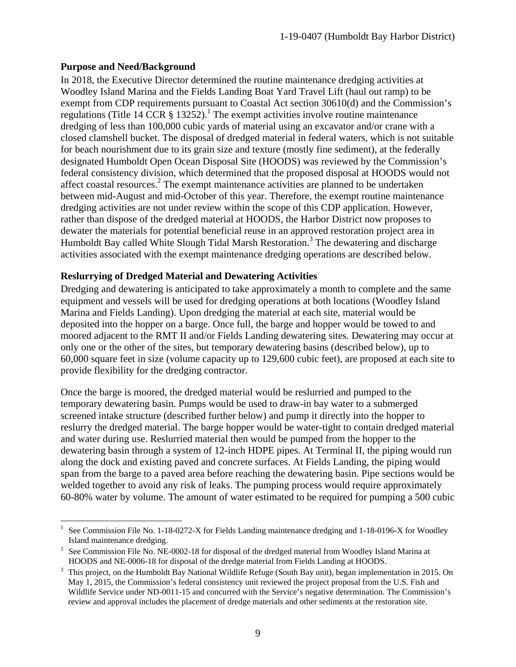#### **Purpose and Need/Background**

In 2018, the Executive Director determined the routine maintenance dredging activities at Woodley Island Marina and the Fields Landing Boat Yard Travel Lift (haul out ramp) to be exempt from CDP requirements pursuant to Coastal Act section 30610(d) and the Commission's regulations (Title 14 CCR  $\S$  13252).<sup>1</sup> The exempt activities involve routine maintenance dredging of less than 100,000 cubic yards of material using an excavator and/or crane with a closed clamshell bucket. The disposal of dredged material in federal waters, which is not suitable for beach nourishment due to its grain size and texture (mostly fine sediment), at the federally designated Humboldt Open Ocean Disposal Site (HOODS) was reviewed by the Commission's federal consistency division, which determined that the proposed disposal at HOODS would not affect coastal resources.<sup>2</sup> The exempt maintenance activities are planned to be undertaken between mid-August and mid-October of this year. Therefore, the exempt routine maintenance dredging activities are not under review within the scope of this CDP application. However, rather than dispose of the dredged material at HOODS, the Harbor District now proposes to dewater the materials for potential beneficial reuse in an approved restoration project area in Humboldt Bay called White Slough Tidal Marsh Restoration.<sup>3</sup> The dewatering and discharge activities associated with the exempt maintenance dredging operations are described below.

#### **Reslurrying of Dredged Material and Dewatering Activities**

Dredging and dewatering is anticipated to take approximately a month to complete and the same equipment and vessels will be used for dredging operations at both locations (Woodley Island Marina and Fields Landing). Upon dredging the material at each site, material would be deposited into the hopper on a barge. Once full, the barge and hopper would be towed to and moored adjacent to the RMT II and/or Fields Landing dewatering sites. Dewatering may occur at only one or the other of the sites, but temporary dewatering basins (described below), up to 60,000 square feet in size (volume capacity up to 129,600 cubic feet), are proposed at each site to provide flexibility for the dredging contractor.

Once the barge is moored, the dredged material would be reslurried and pumped to the temporary dewatering basin. Pumps would be used to draw-in bay water to a submerged screened intake structure (described further below) and pump it directly into the hopper to reslurry the dredged material. The barge hopper would be water-tight to contain dredged material and water during use. Reslurried material then would be pumped from the hopper to the dewatering basin through a system of 12-inch HDPE pipes. At Terminal II, the piping would run along the dock and existing paved and concrete surfaces. At Fields Landing, the piping would span from the barge to a paved area before reaching the dewatering basin. Pipe sections would be welded together to avoid any risk of leaks. The pumping process would require approximately 60-80% water by volume. The amount of water estimated to be required for pumping a 500 cubic

 $\overline{a}$ 1 See Commission File No. 1-18-0272-X for Fields Landing maintenance dredging and 1-18-0196-X for Woodley Island maintenance dredging.

<sup>&</sup>lt;sup>2</sup> See Commission File No. NE-0002-18 for disposal of the dredged material from Woodley Island Marina at HOODS and NE-0006-18 for disposal of the dredge material from Fields Landing at HOODS.

<sup>3</sup> This project, on the Humboldt Bay National Wildlife Refuge (South Bay unit), began implementation in 2015. On May 1, 2015, the Commission's federal consistency unit reviewed the project proposal from the U.S. Fish and Wildlife Service under ND-0011-15 and concurred with the Service's negative determination. The Commission's review and approval includes the placement of dredge materials and other sediments at the restoration site.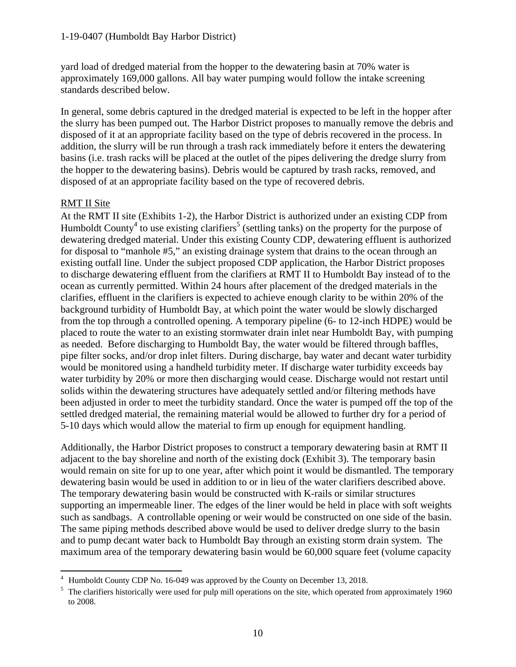yard load of dredged material from the hopper to the dewatering basin at 70% water is approximately 169,000 gallons. All bay water pumping would follow the intake screening standards described below.

In general, some debris captured in the dredged material is expected to be left in the hopper after the slurry has been pumped out. The Harbor District proposes to manually remove the debris and disposed of it at an appropriate facility based on the type of debris recovered in the process. In addition, the slurry will be run through a trash rack immediately before it enters the dewatering basins (i.e. trash racks will be placed at the outlet of the pipes delivering the dredge slurry from the hopper to the dewatering basins). Debris would be captured by trash racks, removed, and disposed of at an appropriate facility based on the type of recovered debris.

#### RMT II Site

 $\overline{a}$ 

At the RMT II site (Exhibits 1-2), the Harbor District is authorized under an existing CDP from Humboldt County<sup>4</sup> to use existing clarifiers<sup>5</sup> (settling tanks) on the property for the purpose of dewatering dredged material. Under this existing County CDP, dewatering effluent is authorized for disposal to "manhole #5," an existing drainage system that drains to the ocean through an existing outfall line. Under the subject proposed CDP application, the Harbor District proposes to discharge dewatering effluent from the clarifiers at RMT II to Humboldt Bay instead of to the ocean as currently permitted. Within 24 hours after placement of the dredged materials in the clarifies, effluent in the clarifiers is expected to achieve enough clarity to be within 20% of the background turbidity of Humboldt Bay, at which point the water would be slowly discharged from the top through a controlled opening. A temporary pipeline (6- to 12-inch HDPE) would be placed to route the water to an existing stormwater drain inlet near Humboldt Bay, with pumping as needed. Before discharging to Humboldt Bay, the water would be filtered through baffles, pipe filter socks, and/or drop inlet filters. During discharge, bay water and decant water turbidity would be monitored using a handheld turbidity meter. If discharge water turbidity exceeds bay water turbidity by 20% or more then discharging would cease. Discharge would not restart until solids within the dewatering structures have adequately settled and/or filtering methods have been adjusted in order to meet the turbidity standard. Once the water is pumped off the top of the settled dredged material, the remaining material would be allowed to further dry for a period of 5-10 days which would allow the material to firm up enough for equipment handling.

Additionally, the Harbor District proposes to construct a temporary dewatering basin at RMT II adjacent to the bay shoreline and north of the existing dock (Exhibit 3). The temporary basin would remain on site for up to one year, after which point it would be dismantled. The temporary dewatering basin would be used in addition to or in lieu of the water clarifiers described above. The temporary dewatering basin would be constructed with K-rails or similar structures supporting an impermeable liner. The edges of the liner would be held in place with soft weights such as sandbags. A controllable opening or weir would be constructed on one side of the basin. The same piping methods described above would be used to deliver dredge slurry to the basin and to pump decant water back to Humboldt Bay through an existing storm drain system. The maximum area of the temporary dewatering basin would be 60,000 square feet (volume capacity

<sup>&</sup>lt;sup>4</sup> Humboldt County CDP No. 16-049 was approved by the County on December 13, 2018.

<sup>&</sup>lt;sup>5</sup> The clarifiers historically were used for pulp mill operations on the site, which operated from approximately 1960 to 2008.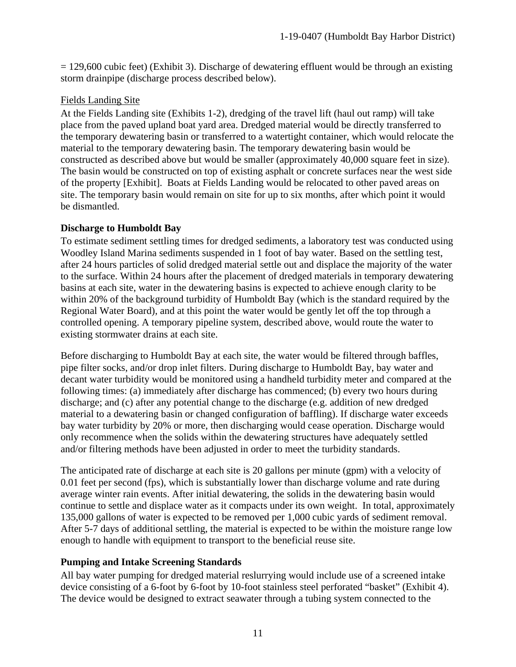$= 129,600$  cubic feet) (Exhibit 3). Discharge of dewatering effluent would be through an existing storm drainpipe (discharge process described below).

#### Fields Landing Site

At the Fields Landing site (Exhibits 1-2), dredging of the travel lift (haul out ramp) will take place from the paved upland boat yard area. Dredged material would be directly transferred to the temporary dewatering basin or transferred to a watertight container, which would relocate the material to the temporary dewatering basin. The temporary dewatering basin would be constructed as described above but would be smaller (approximately 40,000 square feet in size). The basin would be constructed on top of existing asphalt or concrete surfaces near the west side of the property [Exhibit]. Boats at Fields Landing would be relocated to other paved areas on site. The temporary basin would remain on site for up to six months, after which point it would be dismantled.

#### **Discharge to Humboldt Bay**

To estimate sediment settling times for dredged sediments, a laboratory test was conducted using Woodley Island Marina sediments suspended in 1 foot of bay water. Based on the settling test, after 24 hours particles of solid dredged material settle out and displace the majority of the water to the surface. Within 24 hours after the placement of dredged materials in temporary dewatering basins at each site, water in the dewatering basins is expected to achieve enough clarity to be within 20% of the background turbidity of Humboldt Bay (which is the standard required by the Regional Water Board), and at this point the water would be gently let off the top through a controlled opening. A temporary pipeline system, described above, would route the water to existing stormwater drains at each site.

Before discharging to Humboldt Bay at each site, the water would be filtered through baffles, pipe filter socks, and/or drop inlet filters. During discharge to Humboldt Bay, bay water and decant water turbidity would be monitored using a handheld turbidity meter and compared at the following times: (a) immediately after discharge has commenced; (b) every two hours during discharge; and (c) after any potential change to the discharge (e.g. addition of new dredged material to a dewatering basin or changed configuration of baffling). If discharge water exceeds bay water turbidity by 20% or more, then discharging would cease operation. Discharge would only recommence when the solids within the dewatering structures have adequately settled and/or filtering methods have been adjusted in order to meet the turbidity standards.

The anticipated rate of discharge at each site is 20 gallons per minute (gpm) with a velocity of 0.01 feet per second (fps), which is substantially lower than discharge volume and rate during average winter rain events. After initial dewatering, the solids in the dewatering basin would continue to settle and displace water as it compacts under its own weight. In total, approximately 135,000 gallons of water is expected to be removed per 1,000 cubic yards of sediment removal. After 5-7 days of additional settling, the material is expected to be within the moisture range low enough to handle with equipment to transport to the beneficial reuse site.

#### **Pumping and Intake Screening Standards**

All bay water pumping for dredged material reslurrying would include use of a screened intake device consisting of a 6-foot by 6-foot by 10-foot stainless steel perforated "basket" (Exhibit 4). The device would be designed to extract seawater through a tubing system connected to the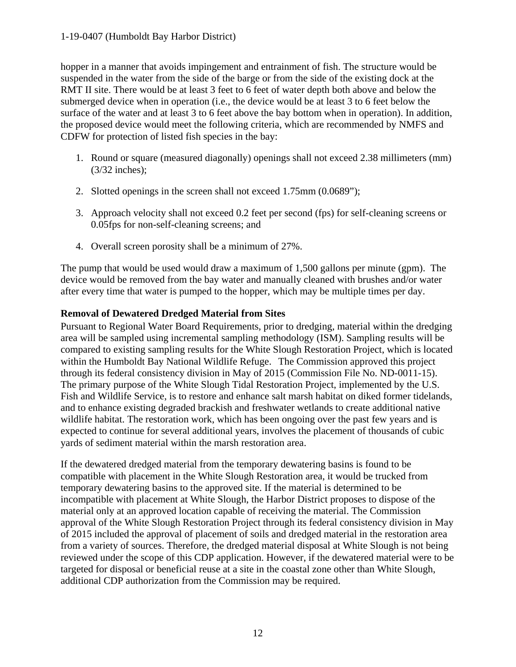#### 1-19-0407 (Humboldt Bay Harbor District)

hopper in a manner that avoids impingement and entrainment of fish. The structure would be suspended in the water from the side of the barge or from the side of the existing dock at the RMT II site. There would be at least 3 feet to 6 feet of water depth both above and below the submerged device when in operation (i.e., the device would be at least 3 to 6 feet below the surface of the water and at least 3 to 6 feet above the bay bottom when in operation). In addition, the proposed device would meet the following criteria, which are recommended by NMFS and CDFW for protection of listed fish species in the bay:

- 1. Round or square (measured diagonally) openings shall not exceed 2.38 millimeters (mm) (3/32 inches);
- 2. Slotted openings in the screen shall not exceed 1.75mm (0.0689");
- 3. Approach velocity shall not exceed 0.2 feet per second (fps) for self-cleaning screens or 0.05fps for non-self-cleaning screens; and
- 4. Overall screen porosity shall be a minimum of 27%.

The pump that would be used would draw a maximum of 1,500 gallons per minute (gpm). The device would be removed from the bay water and manually cleaned with brushes and/or water after every time that water is pumped to the hopper, which may be multiple times per day.

#### **Removal of Dewatered Dredged Material from Sites**

Pursuant to Regional Water Board Requirements, prior to dredging, material within the dredging area will be sampled using incremental sampling methodology (ISM). Sampling results will be compared to existing sampling results for the White Slough Restoration Project, which is located within the Humboldt Bay National Wildlife Refuge. The Commission approved this project through its federal consistency division in May of 2015 (Commission File No. ND-0011-15). The primary purpose of the White Slough Tidal Restoration Project, implemented by the U.S. Fish and Wildlife Service, is to restore and enhance salt marsh habitat on diked former tidelands, and to enhance existing degraded brackish and freshwater wetlands to create additional native wildlife habitat. The restoration work, which has been ongoing over the past few years and is expected to continue for several additional years, involves the placement of thousands of cubic yards of sediment material within the marsh restoration area.

If the dewatered dredged material from the temporary dewatering basins is found to be compatible with placement in the White Slough Restoration area, it would be trucked from temporary dewatering basins to the approved site. If the material is determined to be incompatible with placement at White Slough, the Harbor District proposes to dispose of the material only at an approved location capable of receiving the material. The Commission approval of the White Slough Restoration Project through its federal consistency division in May of 2015 included the approval of placement of soils and dredged material in the restoration area from a variety of sources. Therefore, the dredged material disposal at White Slough is not being reviewed under the scope of this CDP application. However, if the dewatered material were to be targeted for disposal or beneficial reuse at a site in the coastal zone other than White Slough, additional CDP authorization from the Commission may be required.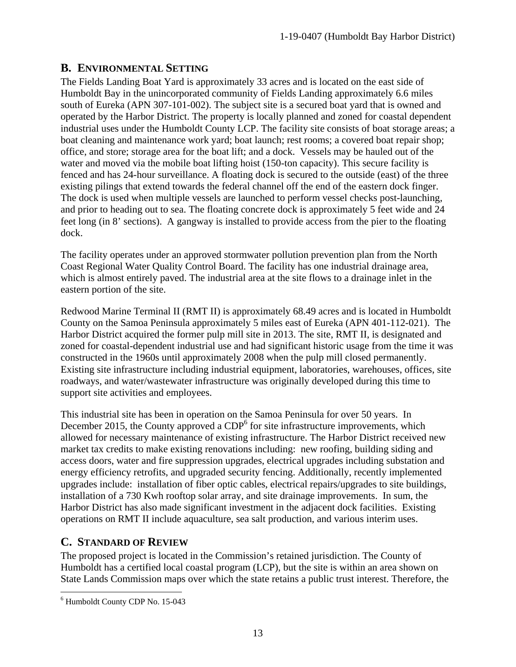## <span id="page-12-0"></span>**B. ENVIRONMENTAL SETTING**

The Fields Landing Boat Yard is approximately 33 acres and is located on the east side of Humboldt Bay in the unincorporated community of Fields Landing approximately 6.6 miles south of Eureka (APN 307-101-002). The subject site is a secured boat yard that is owned and operated by the Harbor District. The property is locally planned and zoned for coastal dependent industrial uses under the Humboldt County LCP. The facility site consists of boat storage areas; a boat cleaning and maintenance work yard; boat launch; rest rooms; a covered boat repair shop; office, and store; storage area for the boat lift; and a dock. Vessels may be hauled out of the water and moved via the mobile boat lifting hoist (150-ton capacity). This secure facility is fenced and has 24-hour surveillance. A floating dock is secured to the outside (east) of the three existing pilings that extend towards the federal channel off the end of the eastern dock finger. The dock is used when multiple vessels are launched to perform vessel checks post-launching, and prior to heading out to sea. The floating concrete dock is approximately 5 feet wide and 24 feet long (in 8' sections). A gangway is installed to provide access from the pier to the floating dock.

The facility operates under an approved stormwater pollution prevention plan from the North Coast Regional Water Quality Control Board. The facility has one industrial drainage area, which is almost entirely paved. The industrial area at the site flows to a drainage inlet in the eastern portion of the site.

Redwood Marine Terminal II (RMT II) is approximately 68.49 acres and is located in Humboldt County on the Samoa Peninsula approximately 5 miles east of Eureka (APN 401-112-021). The Harbor District acquired the former pulp mill site in 2013. The site, RMT II, is designated and zoned for coastal-dependent industrial use and had significant historic usage from the time it was constructed in the 1960s until approximately 2008 when the pulp mill closed permanently. Existing site infrastructure including industrial equipment, laboratories, warehouses, offices, site roadways, and water/wastewater infrastructure was originally developed during this time to support site activities and employees.

This industrial site has been in operation on the Samoa Peninsula for over 50 years. In December 2015, the County approved a  $CDP<sup>6</sup>$  for site infrastructure improvements, which allowed for necessary maintenance of existing infrastructure. The Harbor District received new market tax credits to make existing renovations including: new roofing, building siding and access doors, water and fire suppression upgrades, electrical upgrades including substation and energy efficiency retrofits, and upgraded security fencing. Additionally, recently implemented upgrades include: installation of fiber optic cables, electrical repairs/upgrades to site buildings, installation of a 730 Kwh rooftop solar array, and site drainage improvements. In sum, the Harbor District has also made significant investment in the adjacent dock facilities. Existing operations on RMT II include aquaculture, sea salt production, and various interim uses.

## <span id="page-12-1"></span>**C. STANDARD OF REVIEW**

The proposed project is located in the Commission's retained jurisdiction. The County of Humboldt has a certified local coastal program (LCP), but the site is within an area shown on State Lands Commission maps over which the state retains a public trust interest. Therefore, the

 $\overline{a}$ <sup>6</sup> Humboldt County CDP No. 15-043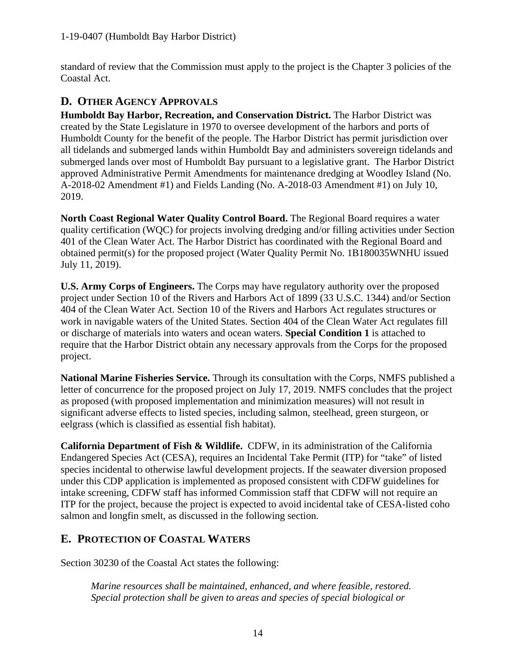standard of review that the Commission must apply to the project is the Chapter 3 policies of the Coastal Act.

## <span id="page-13-0"></span>**D. OTHER AGENCY APPROVALS**

**Humboldt Bay Harbor, Recreation, and Conservation District.** The Harbor District was created by the State Legislature in 1970 to oversee development of the harbors and ports of Humboldt County for the benefit of the people. The Harbor District has permit jurisdiction over all tidelands and submerged lands within Humboldt Bay and administers sovereign tidelands and submerged lands over most of Humboldt Bay pursuant to a legislative grant. The Harbor District approved Administrative Permit Amendments for maintenance dredging at Woodley Island (No. A-2018-02 Amendment #1) and Fields Landing (No. A-2018-03 Amendment #1) on July 10, 2019.

**North Coast Regional Water Quality Control Board.** The Regional Board requires a water quality certification (WQC) for projects involving dredging and/or filling activities under Section 401 of the Clean Water Act. The Harbor District has coordinated with the Regional Board and obtained permit(s) for the proposed project (Water Quality Permit No. 1B180035WNHU issued July 11, 2019).

**U.S. Army Corps of Engineers.** The Corps may have regulatory authority over the proposed project under Section 10 of the Rivers and Harbors Act of 1899 (33 U.S.C. 1344) and/or Section 404 of the Clean Water Act. Section 10 of the Rivers and Harbors Act regulates structures or work in navigable waters of the United States. Section 404 of the Clean Water Act regulates fill or discharge of materials into waters and ocean waters. **Special Condition 1** is attached to require that the Harbor District obtain any necessary approvals from the Corps for the proposed project.

**National Marine Fisheries Service.** Through its consultation with the Corps, NMFS published a letter of concurrence for the proposed project on July 17, 2019. NMFS concludes that the project as proposed (with proposed implementation and minimization measures) will not result in significant adverse effects to listed species, including salmon, steelhead, green sturgeon, or eelgrass (which is classified as essential fish habitat).

**California Department of Fish & Wildlife.** CDFW, in its administration of the California Endangered Species Act (CESA), requires an Incidental Take Permit (ITP) for "take" of listed species incidental to otherwise lawful development projects. If the seawater diversion proposed under this CDP application is implemented as proposed consistent with CDFW guidelines for intake screening, CDFW staff has informed Commission staff that CDFW will not require an ITP for the project, because the project is expected to avoid incidental take of CESA-listed coho salmon and longfin smelt, as discussed in the following section.

# <span id="page-13-1"></span>**E. PROTECTION OF COASTAL WATERS**

Section 30230 of the Coastal Act states the following:

*Marine resources shall be maintained, enhanced, and where feasible, restored. Special protection shall be given to areas and species of special biological or*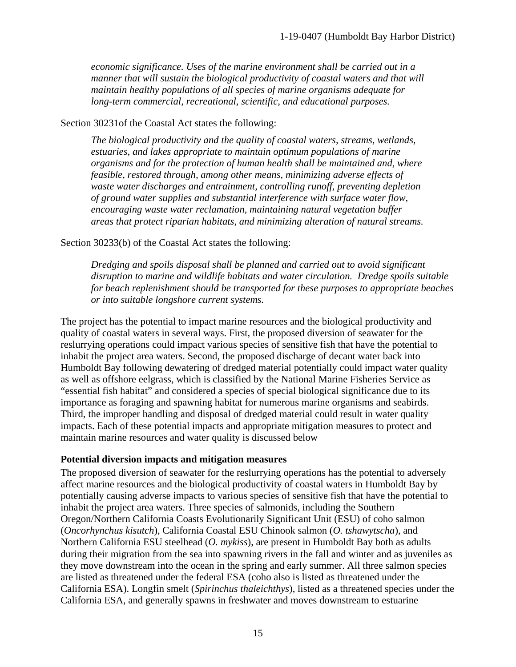*economic significance. Uses of the marine environment shall be carried out in a manner that will sustain the biological productivity of coastal waters and that will maintain healthy populations of all species of marine organisms adequate for long-term commercial, recreational, scientific, and educational purposes.* 

#### Section 30231of the Coastal Act states the following:

*The biological productivity and the quality of coastal waters, streams, wetlands, estuaries, and lakes appropriate to maintain optimum populations of marine organisms and for the protection of human health shall be maintained and, where feasible, restored through, among other means, minimizing adverse effects of waste water discharges and entrainment, controlling runoff, preventing depletion of ground water supplies and substantial interference with surface water flow, encouraging waste water reclamation, maintaining natural vegetation buffer areas that protect riparian habitats, and minimizing alteration of natural streams.* 

#### Section 30233(b) of the Coastal Act states the following:

*Dredging and spoils disposal shall be planned and carried out to avoid significant disruption to marine and wildlife habitats and water circulation. Dredge spoils suitable for beach replenishment should be transported for these purposes to appropriate beaches or into suitable longshore current systems.*

The project has the potential to impact marine resources and the biological productivity and quality of coastal waters in several ways. First, the proposed diversion of seawater for the reslurrying operations could impact various species of sensitive fish that have the potential to inhabit the project area waters. Second, the proposed discharge of decant water back into Humboldt Bay following dewatering of dredged material potentially could impact water quality as well as offshore eelgrass, which is classified by the National Marine Fisheries Service as "essential fish habitat" and considered a species of special biological significance due to its importance as foraging and spawning habitat for numerous marine organisms and seabirds. Third, the improper handling and disposal of dredged material could result in water quality impacts. Each of these potential impacts and appropriate mitigation measures to protect and maintain marine resources and water quality is discussed below

#### **Potential diversion impacts and mitigation measures**

The proposed diversion of seawater for the reslurrying operations has the potential to adversely affect marine resources and the biological productivity of coastal waters in Humboldt Bay by potentially causing adverse impacts to various species of sensitive fish that have the potential to inhabit the project area waters. Three species of salmonids, including the Southern Oregon/Northern California Coasts Evolutionarily Significant Unit (ESU) of coho salmon (*Oncorhynchus kisutch*), California Coastal ESU Chinook salmon (*O. tshawytscha*), and Northern California ESU steelhead (*O. mykiss*), are present in Humboldt Bay both as adults during their migration from the sea into spawning rivers in the fall and winter and as juveniles as they move downstream into the ocean in the spring and early summer. All three salmon species are listed as threatened under the federal ESA (coho also is listed as threatened under the California ESA). Longfin smelt (*Spirinchus thaleichthys*), listed as a threatened species under the California ESA, and generally spawns in freshwater and moves downstream to estuarine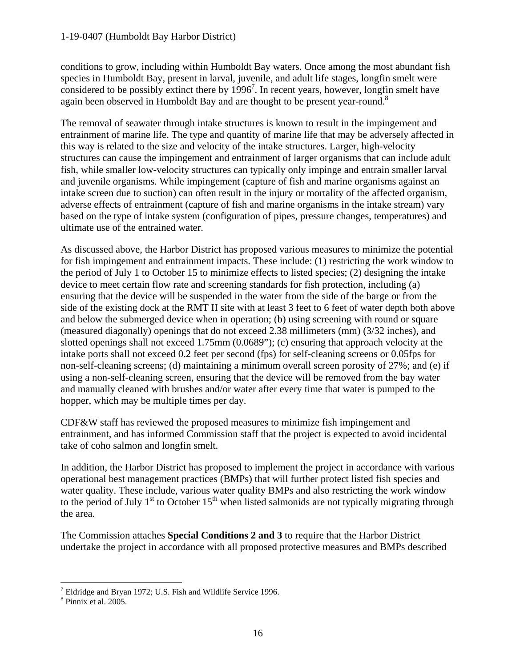#### 1-19-0407 (Humboldt Bay Harbor District)

conditions to grow, including within Humboldt Bay waters. Once among the most abundant fish species in Humboldt Bay, present in larval, juvenile, and adult life stages, longfin smelt were considered to be possibly extinct there by  $1996<sup>7</sup>$ . In recent years, however, longfin smelt have again been observed in Humboldt Bay and are thought to be present year-round.<sup>8</sup>

The removal of seawater through intake structures is known to result in the impingement and entrainment of marine life. The type and quantity of marine life that may be adversely affected in this way is related to the size and velocity of the intake structures. Larger, high-velocity structures can cause the impingement and entrainment of larger organisms that can include adult fish, while smaller low-velocity structures can typically only impinge and entrain smaller larval and juvenile organisms. While impingement (capture of fish and marine organisms against an intake screen due to suction) can often result in the injury or mortality of the affected organism, adverse effects of entrainment (capture of fish and marine organisms in the intake stream) vary based on the type of intake system (configuration of pipes, pressure changes, temperatures) and ultimate use of the entrained water.

As discussed above, the Harbor District has proposed various measures to minimize the potential for fish impingement and entrainment impacts. These include: (1) restricting the work window to the period of July 1 to October 15 to minimize effects to listed species; (2) designing the intake device to meet certain flow rate and screening standards for fish protection, including (a) ensuring that the device will be suspended in the water from the side of the barge or from the side of the existing dock at the RMT II site with at least 3 feet to 6 feet of water depth both above and below the submerged device when in operation; (b) using screening with round or square (measured diagonally) openings that do not exceed 2.38 millimeters (mm) (3/32 inches), and slotted openings shall not exceed 1.75mm (0.0689"); (c) ensuring that approach velocity at the intake ports shall not exceed 0.2 feet per second (fps) for self-cleaning screens or 0.05fps for non-self-cleaning screens; (d) maintaining a minimum overall screen porosity of 27%; and (e) if using a non-self-cleaning screen, ensuring that the device will be removed from the bay water and manually cleaned with brushes and/or water after every time that water is pumped to the hopper, which may be multiple times per day.

CDF&W staff has reviewed the proposed measures to minimize fish impingement and entrainment, and has informed Commission staff that the project is expected to avoid incidental take of coho salmon and longfin smelt.

In addition, the Harbor District has proposed to implement the project in accordance with various operational best management practices (BMPs) that will further protect listed fish species and water quality. These include, various water quality BMPs and also restricting the work window to the period of July  $1<sup>st</sup>$  to October  $15<sup>th</sup>$  when listed salmonids are not typically migrating through the area.

The Commission attaches **Special Conditions 2 and 3** to require that the Harbor District undertake the project in accordance with all proposed protective measures and BMPs described

 $\overline{a}$ 

 $^7$  Eldridge and Bryan 1972; U.S. Fish and Wildlife Service 1996.  $^8$  Pinnix et al. 2005.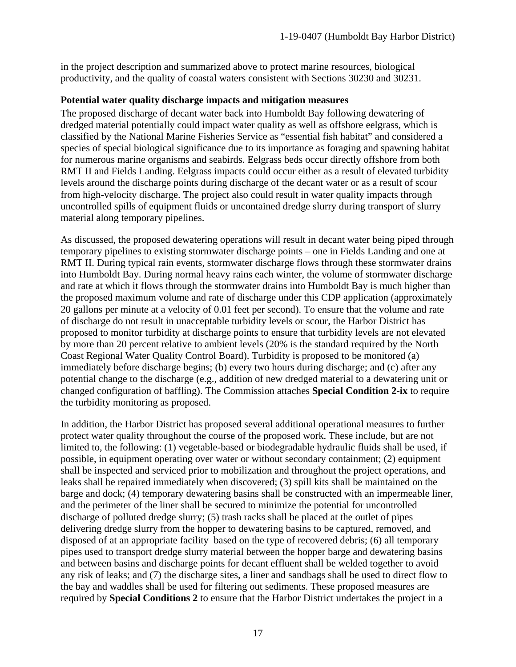in the project description and summarized above to protect marine resources, biological productivity, and the quality of coastal waters consistent with Sections 30230 and 30231.

#### **Potential water quality discharge impacts and mitigation measures**

The proposed discharge of decant water back into Humboldt Bay following dewatering of dredged material potentially could impact water quality as well as offshore eelgrass, which is classified by the National Marine Fisheries Service as "essential fish habitat" and considered a species of special biological significance due to its importance as foraging and spawning habitat for numerous marine organisms and seabirds. Eelgrass beds occur directly offshore from both RMT II and Fields Landing. Eelgrass impacts could occur either as a result of elevated turbidity levels around the discharge points during discharge of the decant water or as a result of scour from high-velocity discharge. The project also could result in water quality impacts through uncontrolled spills of equipment fluids or uncontained dredge slurry during transport of slurry material along temporary pipelines.

As discussed, the proposed dewatering operations will result in decant water being piped through temporary pipelines to existing stormwater discharge points – one in Fields Landing and one at RMT II. During typical rain events, stormwater discharge flows through these stormwater drains into Humboldt Bay. During normal heavy rains each winter, the volume of stormwater discharge and rate at which it flows through the stormwater drains into Humboldt Bay is much higher than the proposed maximum volume and rate of discharge under this CDP application (approximately 20 gallons per minute at a velocity of 0.01 feet per second). To ensure that the volume and rate of discharge do not result in unacceptable turbidity levels or scour, the Harbor District has proposed to monitor turbidity at discharge points to ensure that turbidity levels are not elevated by more than 20 percent relative to ambient levels (20% is the standard required by the North Coast Regional Water Quality Control Board). Turbidity is proposed to be monitored (a) immediately before discharge begins; (b) every two hours during discharge; and (c) after any potential change to the discharge (e.g., addition of new dredged material to a dewatering unit or changed configuration of baffling). The Commission attaches **Special Condition 2-ix** to require the turbidity monitoring as proposed.

In addition, the Harbor District has proposed several additional operational measures to further protect water quality throughout the course of the proposed work. These include, but are not limited to, the following: (1) vegetable-based or biodegradable hydraulic fluids shall be used, if possible, in equipment operating over water or without secondary containment; (2) equipment shall be inspected and serviced prior to mobilization and throughout the project operations, and leaks shall be repaired immediately when discovered; (3) spill kits shall be maintained on the barge and dock; (4) temporary dewatering basins shall be constructed with an impermeable liner, and the perimeter of the liner shall be secured to minimize the potential for uncontrolled discharge of polluted dredge slurry; (5) trash racks shall be placed at the outlet of pipes delivering dredge slurry from the hopper to dewatering basins to be captured, removed, and disposed of at an appropriate facility based on the type of recovered debris; (6) all temporary pipes used to transport dredge slurry material between the hopper barge and dewatering basins and between basins and discharge points for decant effluent shall be welded together to avoid any risk of leaks; and (7) the discharge sites, a liner and sandbags shall be used to direct flow to the bay and waddles shall be used for filtering out sediments. These proposed measures are required by **Special Conditions 2** to ensure that the Harbor District undertakes the project in a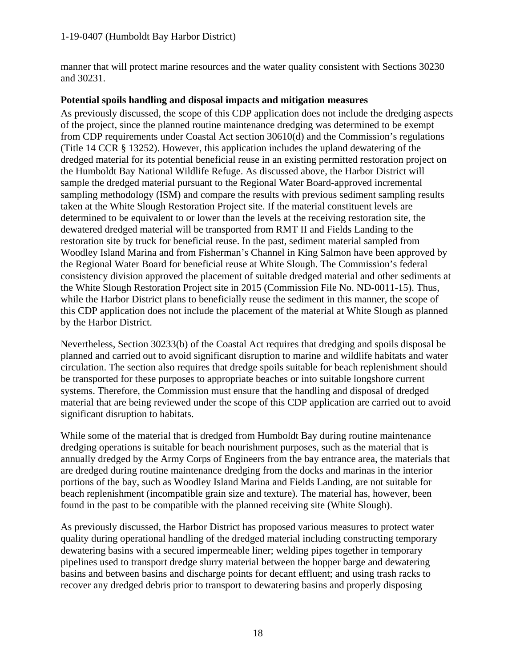manner that will protect marine resources and the water quality consistent with Sections 30230 and 30231.

#### **Potential spoils handling and disposal impacts and mitigation measures**

As previously discussed, the scope of this CDP application does not include the dredging aspects of the project, since the planned routine maintenance dredging was determined to be exempt from CDP requirements under Coastal Act section 30610(d) and the Commission's regulations (Title 14 CCR § 13252). However, this application includes the upland dewatering of the dredged material for its potential beneficial reuse in an existing permitted restoration project on the Humboldt Bay National Wildlife Refuge. As discussed above, the Harbor District will sample the dredged material pursuant to the Regional Water Board-approved incremental sampling methodology (ISM) and compare the results with previous sediment sampling results taken at the White Slough Restoration Project site. If the material constituent levels are determined to be equivalent to or lower than the levels at the receiving restoration site, the dewatered dredged material will be transported from RMT II and Fields Landing to the restoration site by truck for beneficial reuse. In the past, sediment material sampled from Woodley Island Marina and from Fisherman's Channel in King Salmon have been approved by the Regional Water Board for beneficial reuse at White Slough. The Commission's federal consistency division approved the placement of suitable dredged material and other sediments at the White Slough Restoration Project site in 2015 (Commission File No. ND-0011-15). Thus, while the Harbor District plans to beneficially reuse the sediment in this manner, the scope of this CDP application does not include the placement of the material at White Slough as planned by the Harbor District.

Nevertheless, Section 30233(b) of the Coastal Act requires that dredging and spoils disposal be planned and carried out to avoid significant disruption to marine and wildlife habitats and water circulation. The section also requires that dredge spoils suitable for beach replenishment should be transported for these purposes to appropriate beaches or into suitable longshore current systems. Therefore, the Commission must ensure that the handling and disposal of dredged material that are being reviewed under the scope of this CDP application are carried out to avoid significant disruption to habitats.

While some of the material that is dredged from Humboldt Bay during routine maintenance dredging operations is suitable for beach nourishment purposes, such as the material that is annually dredged by the Army Corps of Engineers from the bay entrance area, the materials that are dredged during routine maintenance dredging from the docks and marinas in the interior portions of the bay, such as Woodley Island Marina and Fields Landing, are not suitable for beach replenishment (incompatible grain size and texture). The material has, however, been found in the past to be compatible with the planned receiving site (White Slough).

As previously discussed, the Harbor District has proposed various measures to protect water quality during operational handling of the dredged material including constructing temporary dewatering basins with a secured impermeable liner; welding pipes together in temporary pipelines used to transport dredge slurry material between the hopper barge and dewatering basins and between basins and discharge points for decant effluent; and using trash racks to recover any dredged debris prior to transport to dewatering basins and properly disposing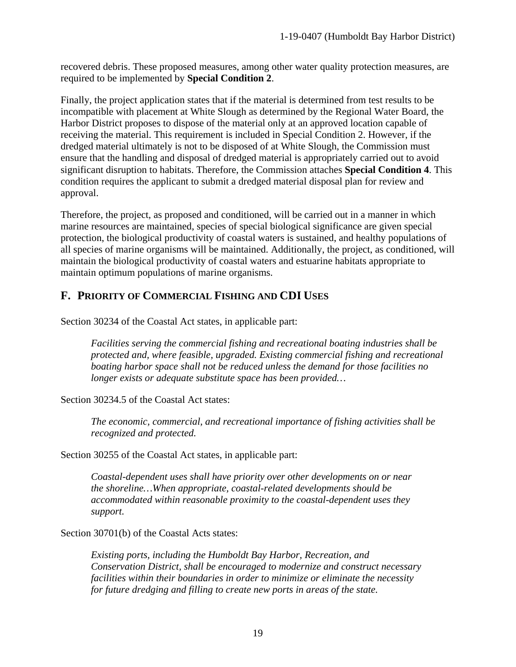recovered debris. These proposed measures, among other water quality protection measures, are required to be implemented by **Special Condition 2**.

Finally, the project application states that if the material is determined from test results to be incompatible with placement at White Slough as determined by the Regional Water Board, the Harbor District proposes to dispose of the material only at an approved location capable of receiving the material. This requirement is included in Special Condition 2. However, if the dredged material ultimately is not to be disposed of at White Slough, the Commission must ensure that the handling and disposal of dredged material is appropriately carried out to avoid significant disruption to habitats. Therefore, the Commission attaches **Special Condition 4**. This condition requires the applicant to submit a dredged material disposal plan for review and approval.

Therefore, the project, as proposed and conditioned, will be carried out in a manner in which marine resources are maintained, species of special biological significance are given special protection, the biological productivity of coastal waters is sustained, and healthy populations of all species of marine organisms will be maintained. Additionally, the project, as conditioned, will maintain the biological productivity of coastal waters and estuarine habitats appropriate to maintain optimum populations of marine organisms.

## <span id="page-18-0"></span>**F. PRIORITY OF COMMERCIAL FISHING AND CDI USES**

Section 30234 of the Coastal Act states, in applicable part:

*Facilities serving the commercial fishing and recreational boating industries shall be protected and, where feasible, upgraded. Existing commercial fishing and recreational boating harbor space shall not be reduced unless the demand for those facilities no longer exists or adequate substitute space has been provided…* 

Section 30234.5 of the Coastal Act states:

*The economic, commercial, and recreational importance of fishing activities shall be recognized and protected.*

Section 30255 of the Coastal Act states, in applicable part:

*Coastal-dependent uses shall have priority over other developments on or near the shoreline…When appropriate, coastal-related developments should be accommodated within reasonable proximity to the coastal-dependent uses they support.* 

Section 30701(b) of the Coastal Acts states:

*Existing ports, including the Humboldt Bay Harbor, Recreation, and Conservation District, shall be encouraged to modernize and construct necessary facilities within their boundaries in order to minimize or eliminate the necessity for future dredging and filling to create new ports in areas of the state.*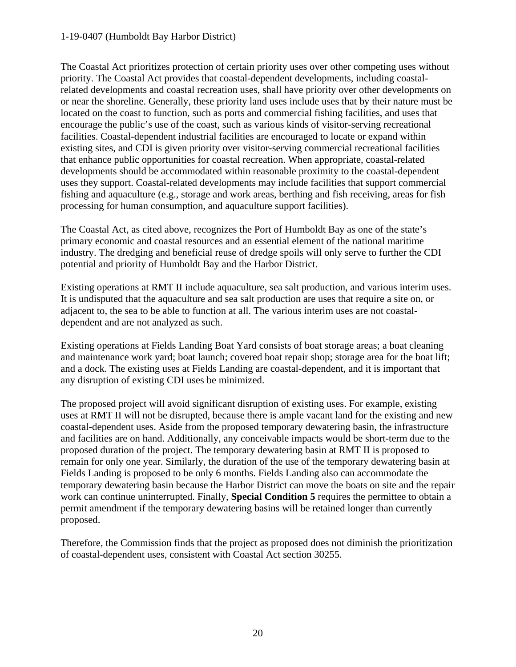#### 1-19-0407 (Humboldt Bay Harbor District)

The Coastal Act prioritizes protection of certain priority uses over other competing uses without priority. The Coastal Act provides that coastal-dependent developments, including coastalrelated developments and coastal recreation uses, shall have priority over other developments on or near the shoreline. Generally, these priority land uses include uses that by their nature must be located on the coast to function, such as ports and commercial fishing facilities, and uses that encourage the public's use of the coast, such as various kinds of visitor-serving recreational facilities. Coastal-dependent industrial facilities are encouraged to locate or expand within existing sites, and CDI is given priority over visitor-serving commercial recreational facilities that enhance public opportunities for coastal recreation. When appropriate, coastal-related developments should be accommodated within reasonable proximity to the coastal-dependent uses they support. Coastal-related developments may include facilities that support commercial fishing and aquaculture (e.g., storage and work areas, berthing and fish receiving, areas for fish processing for human consumption, and aquaculture support facilities).

The Coastal Act, as cited above, recognizes the Port of Humboldt Bay as one of the state's primary economic and coastal resources and an essential element of the national maritime industry. The dredging and beneficial reuse of dredge spoils will only serve to further the CDI potential and priority of Humboldt Bay and the Harbor District.

Existing operations at RMT II include aquaculture, sea salt production, and various interim uses. It is undisputed that the aquaculture and sea salt production are uses that require a site on, or adjacent to, the sea to be able to function at all. The various interim uses are not coastaldependent and are not analyzed as such.

Existing operations at Fields Landing Boat Yard consists of boat storage areas; a boat cleaning and maintenance work yard; boat launch; covered boat repair shop; storage area for the boat lift; and a dock. The existing uses at Fields Landing are coastal-dependent, and it is important that any disruption of existing CDI uses be minimized.

The proposed project will avoid significant disruption of existing uses. For example, existing uses at RMT II will not be disrupted, because there is ample vacant land for the existing and new coastal-dependent uses. Aside from the proposed temporary dewatering basin, the infrastructure and facilities are on hand. Additionally, any conceivable impacts would be short-term due to the proposed duration of the project. The temporary dewatering basin at RMT II is proposed to remain for only one year. Similarly, the duration of the use of the temporary dewatering basin at Fields Landing is proposed to be only 6 months. Fields Landing also can accommodate the temporary dewatering basin because the Harbor District can move the boats on site and the repair work can continue uninterrupted. Finally, **Special Condition 5** requires the permittee to obtain a permit amendment if the temporary dewatering basins will be retained longer than currently proposed.

Therefore, the Commission finds that the project as proposed does not diminish the prioritization of coastal-dependent uses, consistent with Coastal Act section 30255.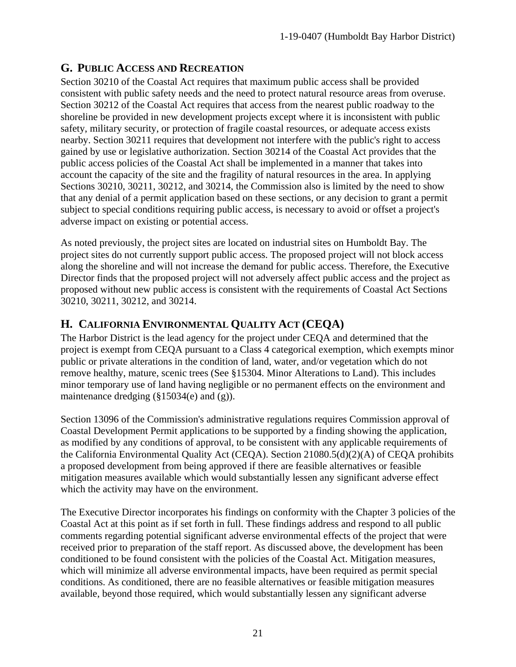## <span id="page-20-0"></span>**G. PUBLIC ACCESS AND RECREATION**

Section 30210 of the Coastal Act requires that maximum public access shall be provided consistent with public safety needs and the need to protect natural resource areas from overuse. Section 30212 of the Coastal Act requires that access from the nearest public roadway to the shoreline be provided in new development projects except where it is inconsistent with public safety, military security, or protection of fragile coastal resources, or adequate access exists nearby. Section 30211 requires that development not interfere with the public's right to access gained by use or legislative authorization. Section 30214 of the Coastal Act provides that the public access policies of the Coastal Act shall be implemented in a manner that takes into account the capacity of the site and the fragility of natural resources in the area. In applying Sections 30210, 30211, 30212, and 30214, the Commission also is limited by the need to show that any denial of a permit application based on these sections, or any decision to grant a permit subject to special conditions requiring public access, is necessary to avoid or offset a project's adverse impact on existing or potential access.

As noted previously, the project sites are located on industrial sites on Humboldt Bay. The project sites do not currently support public access. The proposed project will not block access along the shoreline and will not increase the demand for public access. Therefore, the Executive Director finds that the proposed project will not adversely affect public access and the project as proposed without new public access is consistent with the requirements of Coastal Act Sections 30210, 30211, 30212, and 30214.

## <span id="page-20-1"></span>**H. CALIFORNIA ENVIRONMENTAL QUALITY ACT (CEQA)**

The Harbor District is the lead agency for the project under CEQA and determined that the project is exempt from CEQA pursuant to a Class 4 categorical exemption, which exempts minor public or private alterations in the condition of land, water, and/or vegetation which do not remove healthy, mature, scenic trees (See §15304. Minor Alterations to Land). This includes minor temporary use of land having negligible or no permanent effects on the environment and maintenance dredging (§15034(e) and (g)).

Section 13096 of the Commission's administrative regulations requires Commission approval of Coastal Development Permit applications to be supported by a finding showing the application, as modified by any conditions of approval, to be consistent with any applicable requirements of the California Environmental Quality Act (CEQA). Section 21080.5(d)(2)(A) of CEQA prohibits a proposed development from being approved if there are feasible alternatives or feasible mitigation measures available which would substantially lessen any significant adverse effect which the activity may have on the environment.

The Executive Director incorporates his findings on conformity with the Chapter 3 policies of the Coastal Act at this point as if set forth in full. These findings address and respond to all public comments regarding potential significant adverse environmental effects of the project that were received prior to preparation of the staff report. As discussed above, the development has been conditioned to be found consistent with the policies of the Coastal Act. Mitigation measures, which will minimize all adverse environmental impacts, have been required as permit special conditions. As conditioned, there are no feasible alternatives or feasible mitigation measures available, beyond those required, which would substantially lessen any significant adverse